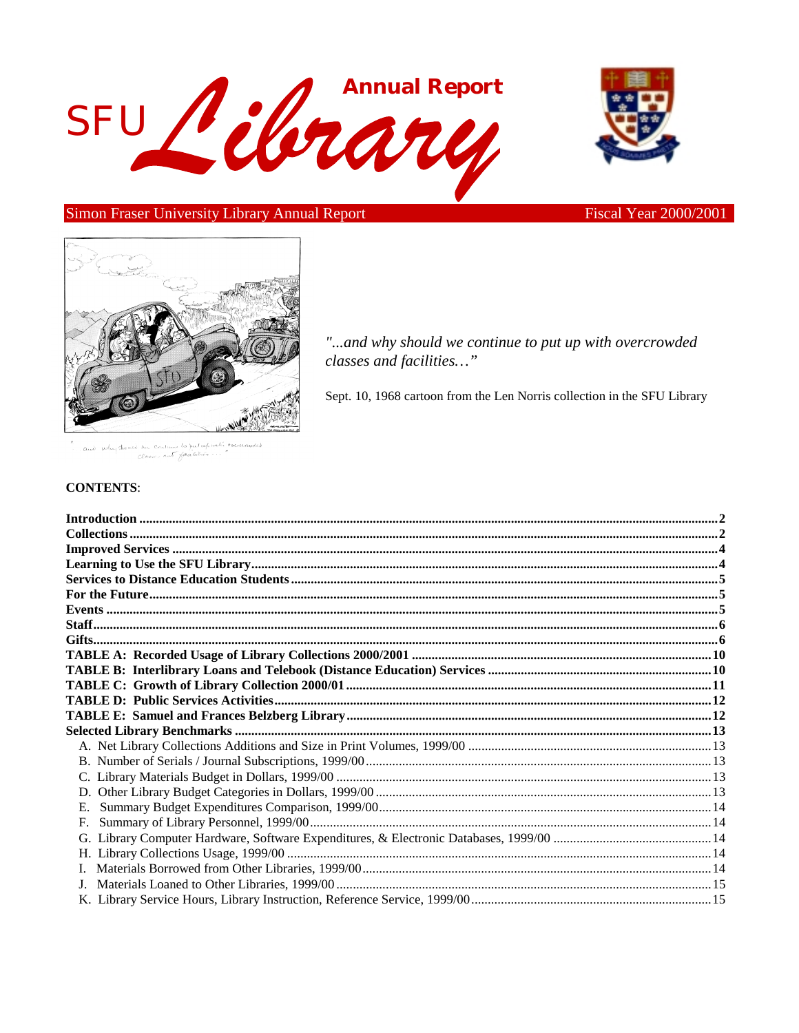



Simon Fraser University Library Annual Report

**Fiscal Year 2000/2001** 



"...and why should we continue to put up with overcrowded classes and facilities..."

Sept. 10, 1968 cartoon from the Len Norris collection in the SFU Library

une la put up with بإيومدة  $h_{11}$  $Cent$ aut faalilie... Classic

### **CONTENTS:**

| $F_{\cdot}$ |  |
|-------------|--|
| G.          |  |
|             |  |
|             |  |
|             |  |
|             |  |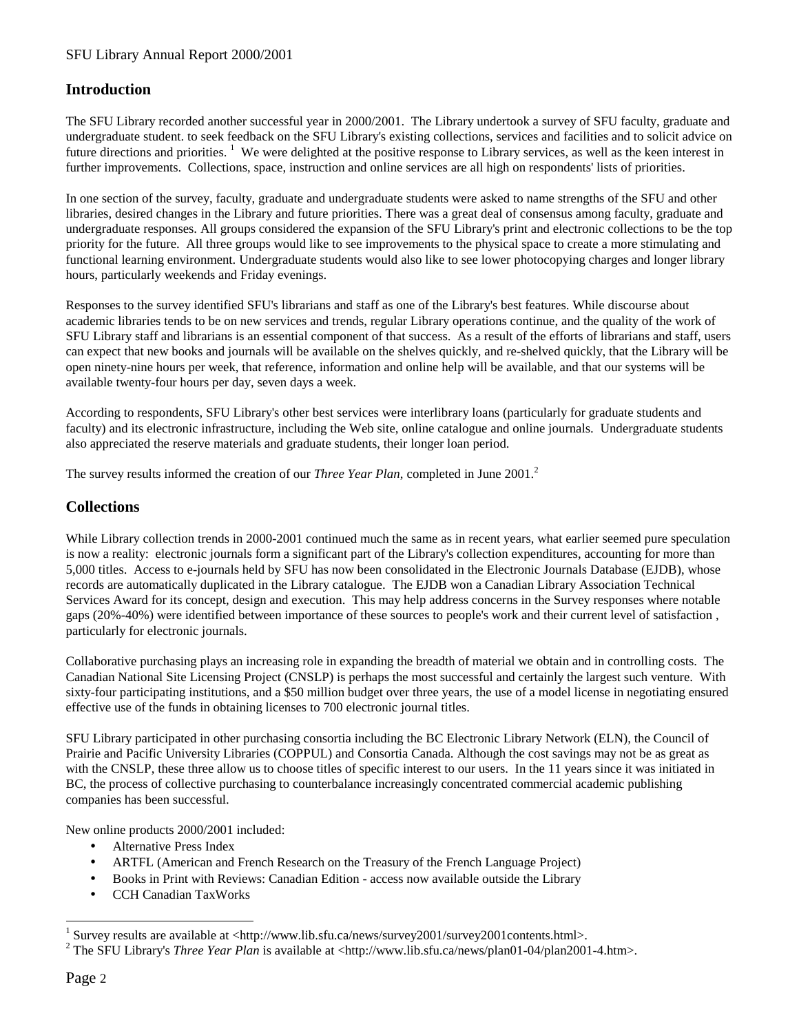### <span id="page-1-0"></span>SFU Library Annual Report 2000/2001

### **Introduction**

The SFU Library recorded another successful year in 2000/2001. The Library undertook a survey of SFU faculty, graduate and undergraduate student. to seek feedback on the SFU Library's existing collections, services and facilities and to solicit advice on future directions and priorities.<sup>1</sup> We were delighted at the positive response to Library services, as well as the keen interest in further improvements. Collections, space, instruction and online services are all high on respondents' lists of priorities.

In one section of the survey, faculty, graduate and undergraduate students were asked to name strengths of the SFU and other libraries, desired changes in the Library and future priorities. There was a great deal of consensus among faculty, graduate and undergraduate responses. All groups considered the expansion of the SFU Library's print and electronic collections to be the top priority for the future. All three groups would like to see improvements to the physical space to create a more stimulating and functional learning environment. Undergraduate students would also like to see lower photocopying charges and longer library hours, particularly weekends and Friday evenings.

Responses to the survey identified SFU's librarians and staff as one of the Library's best features. While discourse about academic libraries tends to be on new services and trends, regular Library operations continue, and the quality of the work of SFU Library staff and librarians is an essential component of that success. As a result of the efforts of librarians and staff, users can expect that new books and journals will be available on the shelves quickly, and re-shelved quickly, that the Library will be open ninety-nine hours per week, that reference, information and online help will be available, and that our systems will be available twenty-four hours per day, seven days a week.

According to respondents, SFU Library's other best services were interlibrary loans (particularly for graduate students and faculty) and its electronic infrastructure, including the Web site, online catalogue and online journals. Undergraduate students also appreciated the reserve materials and graduate students, their longer loan period.

The survey results informed the creation of our *Three Year Plan*, completed in June 2001.<sup>2</sup>

### **Collections**

While Library collection trends in 2000-2001 continued much the same as in recent years, what earlier seemed pure speculation is now a reality: electronic journals form a significant part of the Library's collection expenditures, accounting for more than 5,000 titles. Access to e-journals held by SFU has now been consolidated in the Electronic Journals Database (EJDB), whose records are automatically duplicated in the Library catalogue. The EJDB won a Canadian Library Association Technical Services Award for its concept, design and execution. This may help address concerns in the Survey responses where notable gaps (20%-40%) were identified between importance of these sources to people's work and their current level of satisfaction , particularly for electronic journals.

Collaborative purchasing plays an increasing role in expanding the breadth of material we obtain and in controlling costs. The Canadian National Site Licensing Project (CNSLP) is perhaps the most successful and certainly the largest such venture. With sixty-four participating institutions, and a \$50 million budget over three years, the use of a model license in negotiating ensured effective use of the funds in obtaining licenses to 700 electronic journal titles.

SFU Library participated in other purchasing consortia including the BC Electronic Library Network (ELN), the Council of Prairie and Pacific University Libraries (COPPUL) and Consortia Canada. Although the cost savings may not be as great as with the CNSLP, these three allow us to choose titles of specific interest to our users. In the 11 years since it was initiated in BC, the process of collective purchasing to counterbalance increasingly concentrated commercial academic publishing companies has been successful.

New online products 2000/2001 included:

- Alternative Press Index
- ARTFL (American and French Research on the Treasury of the French Language Project)
- Books in Print with Reviews: Canadian Edition access now available outside the Library
- CCH Canadian TaxWorks

l

<sup>1</sup> Survey results are available at <http://www.lib.sfu.ca/news/survey2001/survey2001contents.html>.

<sup>&</sup>lt;sup>2</sup> The SFU Library's *Three Year Plan* is available at <http://www.lib.sfu.ca/news/plan01-04/plan2001-4.htm>.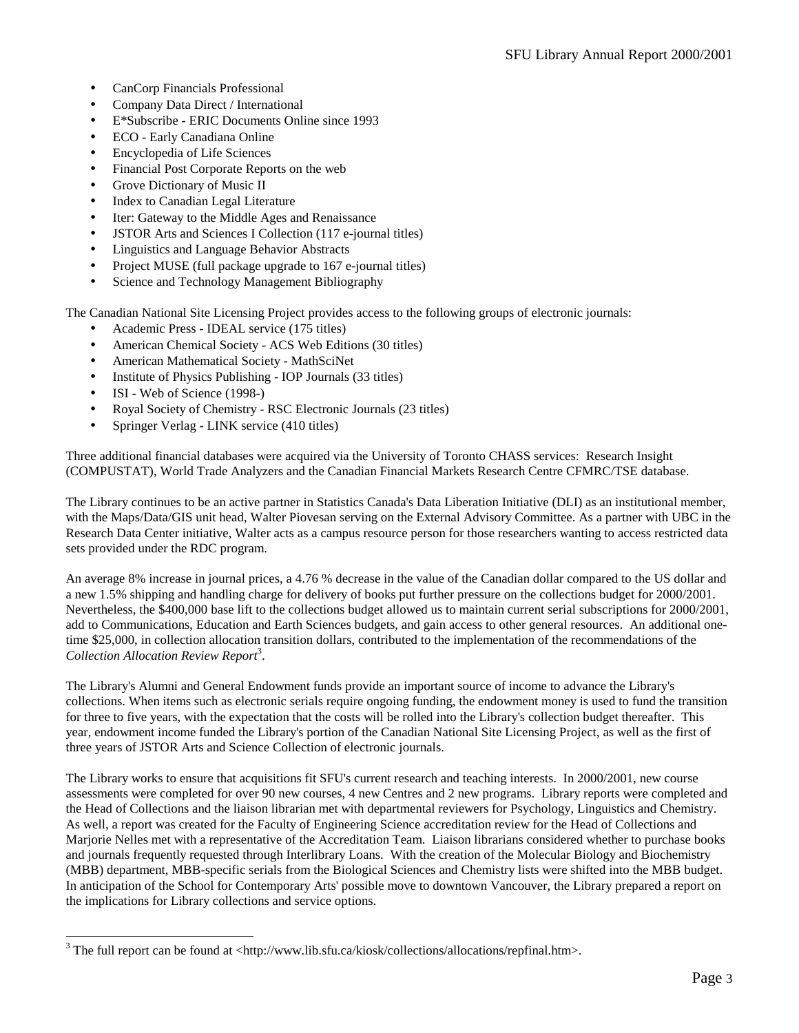- CanCorp Financials Professional
- Company Data Direct / International
- E\*Subscribe ERIC Documents Online since 1993
- ECO Early Canadiana Online
- Encyclopedia of Life Sciences
- Financial Post Corporate Reports on the web
- Grove Dictionary of Music II
- Index to Canadian Legal Literature
- Iter: Gateway to the Middle Ages and Renaissance
- JSTOR Arts and Sciences I Collection (117 e-journal titles)
- Linguistics and Language Behavior Abstracts
- Project MUSE (full package upgrade to 167 e-journal titles)
- Science and Technology Management Bibliography

The Canadian National Site Licensing Project provides access to the following groups of electronic journals:

- Academic Press IDEAL service (175 titles)
- American Chemical Society ACS Web Editions (30 titles)
- American Mathematical Society MathSciNet
- Institute of Physics Publishing IOP Journals (33 titles)
- ISI Web of Science (1998-)

l

- Royal Society of Chemistry RSC Electronic Journals (23 titles)
- Springer Verlag LINK service (410 titles)

Three additional financial databases were acquired via the University of Toronto CHASS services: Research Insight (COMPUSTAT), World Trade Analyzers and the Canadian Financial Markets Research Centre CFMRC/TSE database.

The Library continues to be an active partner in Statistics Canada's Data Liberation Initiative (DLI) as an institutional member, with the Maps/Data/GIS unit head, Walter Piovesan serving on the External Advisory Committee. As a partner with UBC in the Research Data Center initiative, Walter acts as a campus resource person for those researchers wanting to access restricted data sets provided under the RDC program.

An average 8% increase in journal prices, a 4.76 % decrease in the value of the Canadian dollar compared to the US dollar and a new 1.5% shipping and handling charge for delivery of books put further pressure on the collections budget for 2000/2001. Nevertheless, the \$400,000 base lift to the collections budget allowed us to maintain current serial subscriptions for 2000/2001, add to Communications, Education and Earth Sciences budgets, and gain access to other general resources. An additional onetime \$25,000, in collection allocation transition dollars, contributed to the implementation of the recommendations of the Collection Allocation Review Report<sup>3</sup>.

The Library's Alumni and General Endowment funds provide an important source of income to advance the Library's collections. When items such as electronic serials require ongoing funding, the endowment money is used to fund the transition for three to five years, with the expectation that the costs will be rolled into the Library's collection budget thereafter. This year, endowment income funded the Library's portion of the Canadian National Site Licensing Project, as well as the first of three years of JSTOR Arts and Science Collection of electronic journals.

The Library works to ensure that acquisitions fit SFU's current research and teaching interests. In 2000/2001, new course assessments were completed for over 90 new courses, 4 new Centres and 2 new programs. Library reports were completed and the Head of Collections and the liaison librarian met with departmental reviewers for Psychology, Linguistics and Chemistry. As well, a report was created for the Faculty of Engineering Science accreditation review for the Head of Collections and Marjorie Nelles met with a representative of the Accreditation Team. Liaison librarians considered whether to purchase books and journals frequently requested through Interlibrary Loans. With the creation of the Molecular Biology and Biochemistry (MBB) department, MBB-specific serials from the Biological Sciences and Chemistry lists were shifted into the MBB budget. In anticipation of the School for Contemporary Arts' possible move to downtown Vancouver, the Library prepared a report on the implications for Library collections and service options.

 $3$  The full report can be found at <http://www.lib.sfu.ca/kiosk/collections/allocations/repfinal.htm>.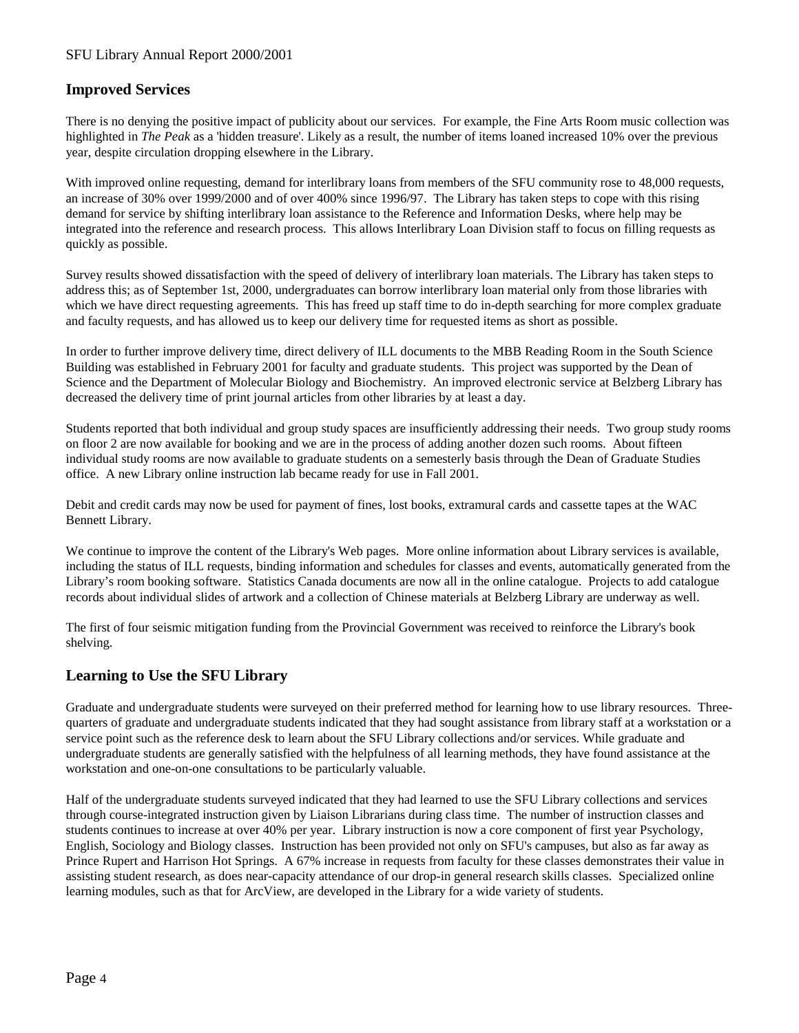### <span id="page-3-0"></span>SFU Library Annual Report 2000/2001

### **Improved Services**

There is no denying the positive impact of publicity about our services. For example, the Fine Arts Room music collection was highlighted in *The Peak* as a 'hidden treasure'. Likely as a result, the number of items loaned increased 10% over the previous year, despite circulation dropping elsewhere in the Library.

With improved online requesting, demand for interlibrary loans from members of the SFU community rose to 48,000 requests, an increase of 30% over 1999/2000 and of over 400% since 1996/97. The Library has taken steps to cope with this rising demand for service by shifting interlibrary loan assistance to the Reference and Information Desks, where help may be integrated into the reference and research process. This allows Interlibrary Loan Division staff to focus on filling requests as quickly as possible.

Survey results showed dissatisfaction with the speed of delivery of interlibrary loan materials. The Library has taken steps to address this; as of September 1st, 2000, undergraduates can borrow interlibrary loan material only from those libraries with which we have direct requesting agreements. This has freed up staff time to do in-depth searching for more complex graduate and faculty requests, and has allowed us to keep our delivery time for requested items as short as possible.

In order to further improve delivery time, direct delivery of ILL documents to the MBB Reading Room in the South Science Building was established in February 2001 for faculty and graduate students. This project was supported by the Dean of Science and the Department of Molecular Biology and Biochemistry. An improved electronic service at Belzberg Library has decreased the delivery time of print journal articles from other libraries by at least a day.

Students reported that both individual and group study spaces are insufficiently addressing their needs. Two group study rooms on floor 2 are now available for booking and we are in the process of adding another dozen such rooms. About fifteen individual study rooms are now available to graduate students on a semesterly basis through the Dean of Graduate Studies office. A new Library online instruction lab became ready for use in Fall 2001.

Debit and credit cards may now be used for payment of fines, lost books, extramural cards and cassette tapes at the WAC Bennett Library.

We continue to improve the content of the Library's Web pages. More online information about Library services is available, including the status of ILL requests, binding information and schedules for classes and events, automatically generated from the Library's room booking software. Statistics Canada documents are now all in the online catalogue. Projects to add catalogue records about individual slides of artwork and a collection of Chinese materials at Belzberg Library are underway as well.

The first of four seismic mitigation funding from the Provincial Government was received to reinforce the Library's book shelving.

### **Learning to Use the SFU Library**

Graduate and undergraduate students were surveyed on their preferred method for learning how to use library resources. Threequarters of graduate and undergraduate students indicated that they had sought assistance from library staff at a workstation or a service point such as the reference desk to learn about the SFU Library collections and/or services. While graduate and undergraduate students are generally satisfied with the helpfulness of all learning methods, they have found assistance at the workstation and one-on-one consultations to be particularly valuable.

Half of the undergraduate students surveyed indicated that they had learned to use the SFU Library collections and services through course-integrated instruction given by Liaison Librarians during class time. The number of instruction classes and students continues to increase at over 40% per year. Library instruction is now a core component of first year Psychology, English, Sociology and Biology classes. Instruction has been provided not only on SFU's campuses, but also as far away as Prince Rupert and Harrison Hot Springs. A 67% increase in requests from faculty for these classes demonstrates their value in assisting student research, as does near-capacity attendance of our drop-in general research skills classes. Specialized online learning modules, such as that for ArcView, are developed in the Library for a wide variety of students.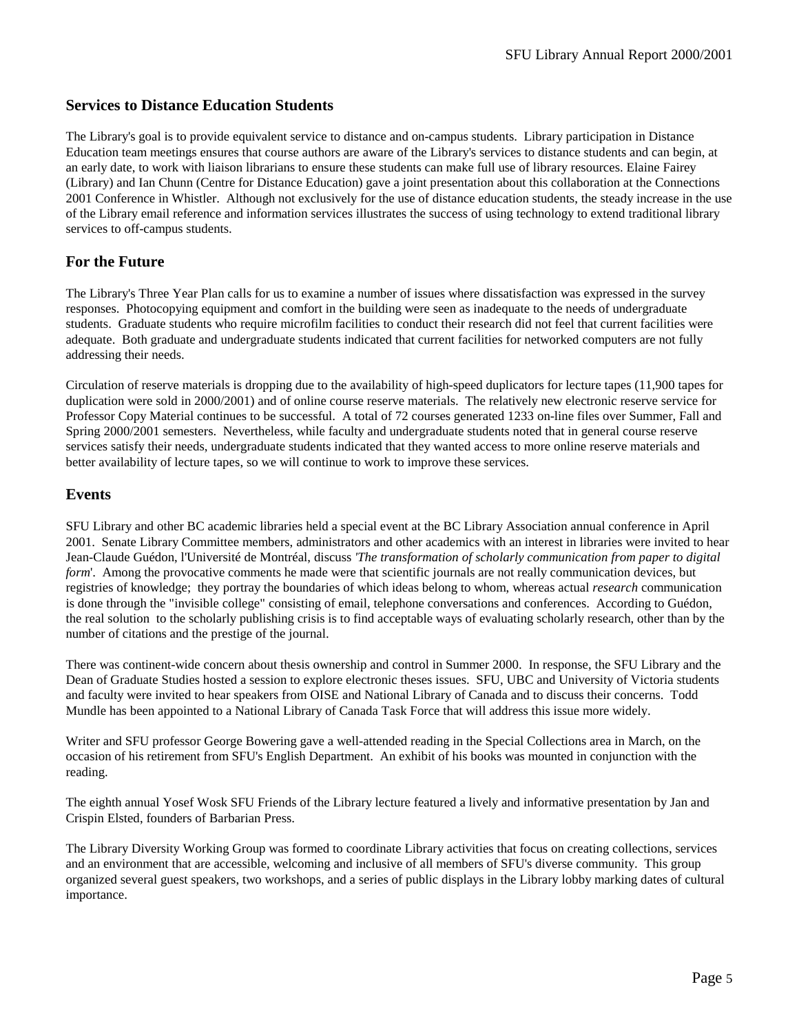### <span id="page-4-0"></span>**Services to Distance Education Students**

The Library's goal is to provide equivalent service to distance and on-campus students. Library participation in Distance Education team meetings ensures that course authors are aware of the Library's services to distance students and can begin, at an early date, to work with liaison librarians to ensure these students can make full use of library resources. Elaine Fairey (Library) and Ian Chunn (Centre for Distance Education) gave a joint presentation about this collaboration at the Connections 2001 Conference in Whistler. Although not exclusively for the use of distance education students, the steady increase in the use of the Library email reference and information services illustrates the success of using technology to extend traditional library services to off-campus students.

### **For the Future**

The Library's Three Year Plan calls for us to examine a number of issues where dissatisfaction was expressed in the survey responses. Photocopying equipment and comfort in the building were seen as inadequate to the needs of undergraduate students. Graduate students who require microfilm facilities to conduct their research did not feel that current facilities were adequate. Both graduate and undergraduate students indicated that current facilities for networked computers are not fully addressing their needs.

Circulation of reserve materials is dropping due to the availability of high-speed duplicators for lecture tapes (11,900 tapes for duplication were sold in 2000/2001) and of online course reserve materials. The relatively new electronic reserve service for Professor Copy Material continues to be successful. A total of 72 courses generated 1233 on-line files over Summer, Fall and Spring 2000/2001 semesters. Nevertheless, while faculty and undergraduate students noted that in general course reserve services satisfy their needs, undergraduate students indicated that they wanted access to more online reserve materials and better availability of lecture tapes, so we will continue to work to improve these services.

### **Events**

SFU Library and other BC academic libraries held a special event at the BC Library Association annual conference in April 2001. Senate Library Committee members, administrators and other academics with an interest in libraries were invited to hear Jean-Claude Guédon, l'Université de Montréal, discuss *'The transformation of scholarly communication from paper to digital form*'. Among the provocative comments he made were that scientific journals are not really communication devices, but registries of knowledge; they portray the boundaries of which ideas belong to whom, whereas actual *research* communication is done through the "invisible college" consisting of email, telephone conversations and conferences. According to Guédon, the real solution to the scholarly publishing crisis is to find acceptable ways of evaluating scholarly research, other than by the number of citations and the prestige of the journal.

There was continent-wide concern about thesis ownership and control in Summer 2000. In response, the SFU Library and the Dean of Graduate Studies hosted a session to explore electronic theses issues. SFU, UBC and University of Victoria students and faculty were invited to hear speakers from OISE and National Library of Canada and to discuss their concerns. Todd Mundle has been appointed to a National Library of Canada Task Force that will address this issue more widely.

Writer and SFU professor George Bowering gave a well-attended reading in the Special Collections area in March, on the occasion of his retirement from SFU's English Department. An exhibit of his books was mounted in conjunction with the reading.

The eighth annual Yosef Wosk SFU Friends of the Library lecture featured a lively and informative presentation by Jan and Crispin Elsted, founders of Barbarian Press.

The Library Diversity Working Group was formed to coordinate Library activities that focus on creating collections, services and an environment that are accessible, welcoming and inclusive of all members of SFU's diverse community. This group organized several guest speakers, two workshops, and a series of public displays in the Library lobby marking dates of cultural importance.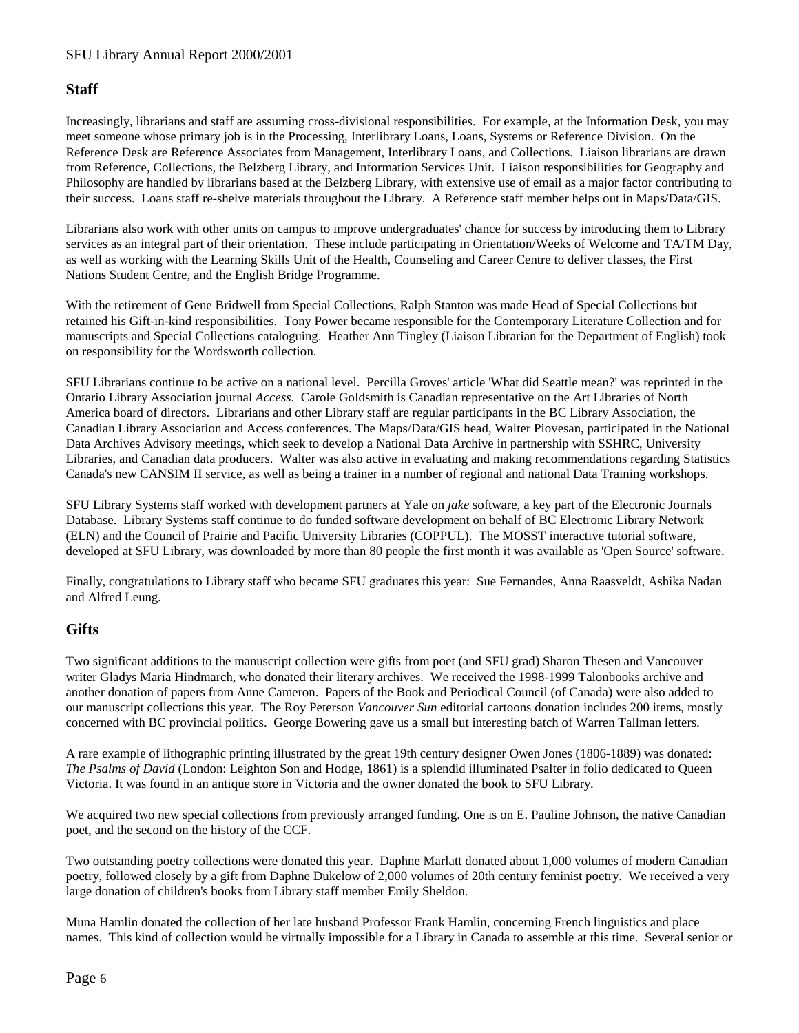### <span id="page-5-0"></span>**Staff**

Increasingly, librarians and staff are assuming cross-divisional responsibilities. For example, at the Information Desk, you may meet someone whose primary job is in the Processing, Interlibrary Loans, Loans, Systems or Reference Division. On the Reference Desk are Reference Associates from Management, Interlibrary Loans, and Collections. Liaison librarians are drawn from Reference, Collections, the Belzberg Library, and Information Services Unit. Liaison responsibilities for Geography and Philosophy are handled by librarians based at the Belzberg Library, with extensive use of email as a major factor contributing to their success. Loans staff re-shelve materials throughout the Library. A Reference staff member helps out in Maps/Data/GIS.

Librarians also work with other units on campus to improve undergraduates' chance for success by introducing them to Library services as an integral part of their orientation. These include participating in Orientation/Weeks of Welcome and TA/TM Day, as well as working with the Learning Skills Unit of the Health, Counseling and Career Centre to deliver classes, the First Nations Student Centre, and the English Bridge Programme.

With the retirement of Gene Bridwell from Special Collections, Ralph Stanton was made Head of Special Collections but retained his Gift-in-kind responsibilities. Tony Power became responsible for the Contemporary Literature Collection and for manuscripts and Special Collections cataloguing. Heather Ann Tingley (Liaison Librarian for the Department of English) took on responsibility for the Wordsworth collection.

SFU Librarians continue to be active on a national level. Percilla Groves' article 'What did Seattle mean?' was reprinted in the Ontario Library Association journal *Access*. Carole Goldsmith is Canadian representative on the Art Libraries of North America board of directors. Librarians and other Library staff are regular participants in the BC Library Association, the Canadian Library Association and Access conferences. The Maps/Data/GIS head, Walter Piovesan, participated in the National Data Archives Advisory meetings, which seek to develop a National Data Archive in partnership with SSHRC, University Libraries, and Canadian data producers. Walter was also active in evaluating and making recommendations regarding Statistics Canada's new CANSIM II service, as well as being a trainer in a number of regional and national Data Training workshops.

SFU Library Systems staff worked with development partners at Yale on *jake* software, a key part of the Electronic Journals Database. Library Systems staff continue to do funded software development on behalf of BC Electronic Library Network (ELN) and the Council of Prairie and Pacific University Libraries (COPPUL). The MOSST interactive tutorial software, developed at SFU Library, was downloaded by more than 80 people the first month it was available as 'Open Source' software.

Finally, congratulations to Library staff who became SFU graduates this year: Sue Fernandes, Anna Raasveldt, Ashika Nadan and Alfred Leung.

### **Gifts**

Two significant additions to the manuscript collection were gifts from poet (and SFU grad) Sharon Thesen and Vancouver writer Gladys Maria Hindmarch, who donated their literary archives. We received the 1998-1999 Talonbooks archive and another donation of papers from Anne Cameron. Papers of the Book and Periodical Council (of Canada) were also added to our manuscript collections this year. The Roy Peterson *Vancouver Sun* editorial cartoons donation includes 200 items, mostly concerned with BC provincial politics. George Bowering gave us a small but interesting batch of Warren Tallman letters.

A rare example of lithographic printing illustrated by the great 19th century designer Owen Jones (1806-1889) was donated: *The Psalms of David* (London: Leighton Son and Hodge, 1861) is a splendid illuminated Psalter in folio dedicated to Queen Victoria. It was found in an antique store in Victoria and the owner donated the book to SFU Library.

We acquired two new special collections from previously arranged funding. One is on E. Pauline Johnson, the native Canadian poet, and the second on the history of the CCF.

Two outstanding poetry collections were donated this year. Daphne Marlatt donated about 1,000 volumes of modern Canadian poetry, followed closely by a gift from Daphne Dukelow of 2,000 volumes of 20th century feminist poetry. We received a very large donation of children's books from Library staff member Emily Sheldon.

Muna Hamlin donated the collection of her late husband Professor Frank Hamlin, concerning French linguistics and place names. This kind of collection would be virtually impossible for a Library in Canada to assemble at this time. Several senior or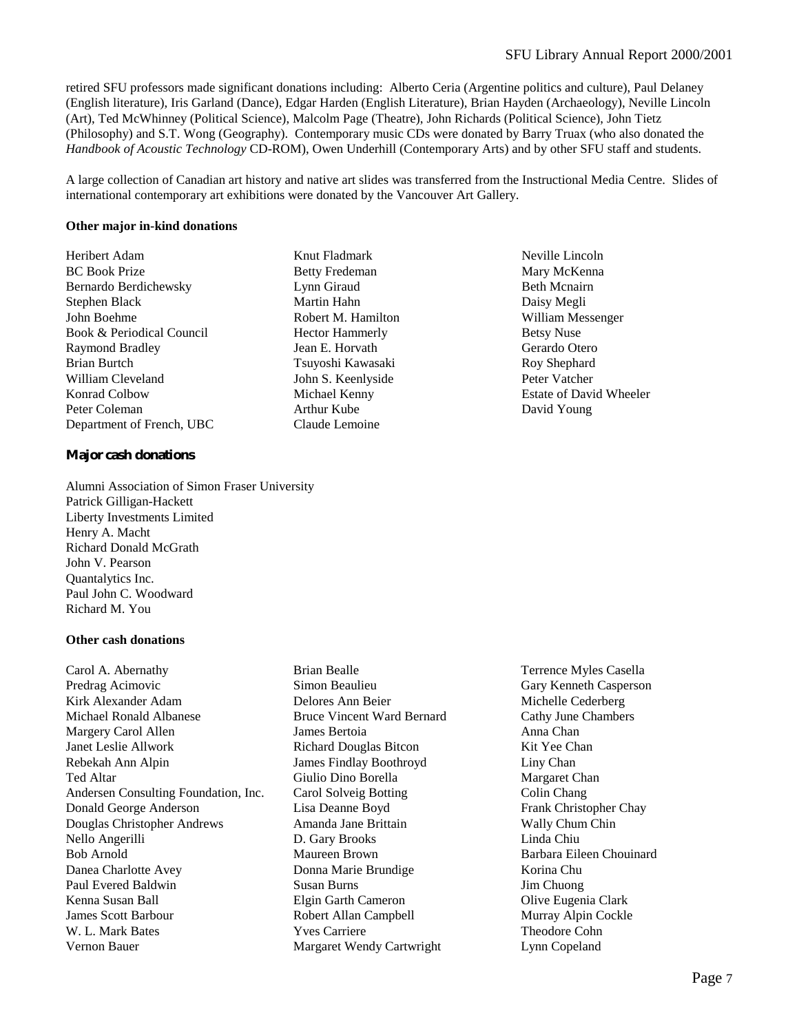Neville Lincoln Mary McKenna Beth Mcnairn Daisy Megli William Messenger Betsy Nuse Gerardo Otero Roy Shephard Peter Vatcher

Estate of David Wheeler

David Young

retired SFU professors made significant donations including: Alberto Ceria (Argentine politics and culture), Paul Delaney (English literature), Iris Garland (Dance), Edgar Harden (English Literature), Brian Hayden (Archaeology), Neville Lincoln (Art), Ted McWhinney (Political Science), Malcolm Page (Theatre), John Richards (Political Science), John Tietz (Philosophy) and S.T. Wong (Geography). Contemporary music CDs were donated by Barry Truax (who also donated the *Handbook of Acoustic Technology* CD-ROM), Owen Underhill (Contemporary Arts) and by other SFU staff and students.

A large collection of Canadian art history and native art slides was transferred from the Instructional Media Centre. Slides of international contemporary art exhibitions were donated by the Vancouver Art Gallery.

> Knut Fladmark Betty Fredeman Lynn Giraud Martin Hahn Robert M. Hamilton Hector Hammerly Jean E. Horvath Tsuyoshi Kawasaki John S. Keenlyside Michael Kenny Arthur Kube Claude Lemoine

#### **Other major in-kind donations**

Heribert Adam BC Book Prize Bernardo Berdichewsky Stephen Black John Boehme Book & Periodical Council Raymond Bradley Brian Burtch William Cleveland Konrad Colbow Peter Coleman Department of French, UBC

#### **Major cash donations**

Alumni Association of Simon Fraser University Patrick Gilligan-Hackett Liberty Investments Limited Henry A. Macht Richard Donald McGrath John V. Pearson Quantalytics Inc. Paul John C. Woodward Richard M. You

#### **Other cash donations**

Carol A. Abernathy Predrag Acimovic Kirk Alexander Adam Michael Ronald Albanese Margery Carol Allen Janet Leslie Allwork Rebekah Ann Alpin Ted Altar Andersen Consulting Foundation, Inc. Donald George Anderson Douglas Christopher Andrews Nello Angerilli Bob Arnold Danea Charlotte Avey Paul Evered Baldwin Kenna Susan Ball James Scott Barbour W. L. Mark Bates Vernon Bauer

- Brian Bealle Simon Beaulieu Delores Ann Beier Bruce Vincent Ward Bernard James Bertoia Richard Douglas Bitcon James Findlay Boothroyd Giulio Dino Borella Carol Solveig Botting Lisa Deanne Boyd Amanda Jane Brittain D. Gary Brooks Maureen Brown Donna Marie Brundige Susan Burns Elgin Garth Cameron Robert Allan Campbell Yves Carriere Margaret Wendy Cartwright
- 
- Terrence Myles Casella Gary Kenneth Casperson Michelle Cederberg Cathy June Chambers Anna Chan Kit Yee Chan Liny Chan Margaret Chan Colin Chang Frank Christopher Chay Wally Chum Chin Linda Chiu Barbara Eileen Chouinard Korina Chu Jim Chuong Olive Eugenia Clark Murray Alpin Cockle Theodore Cohn Lynn Copeland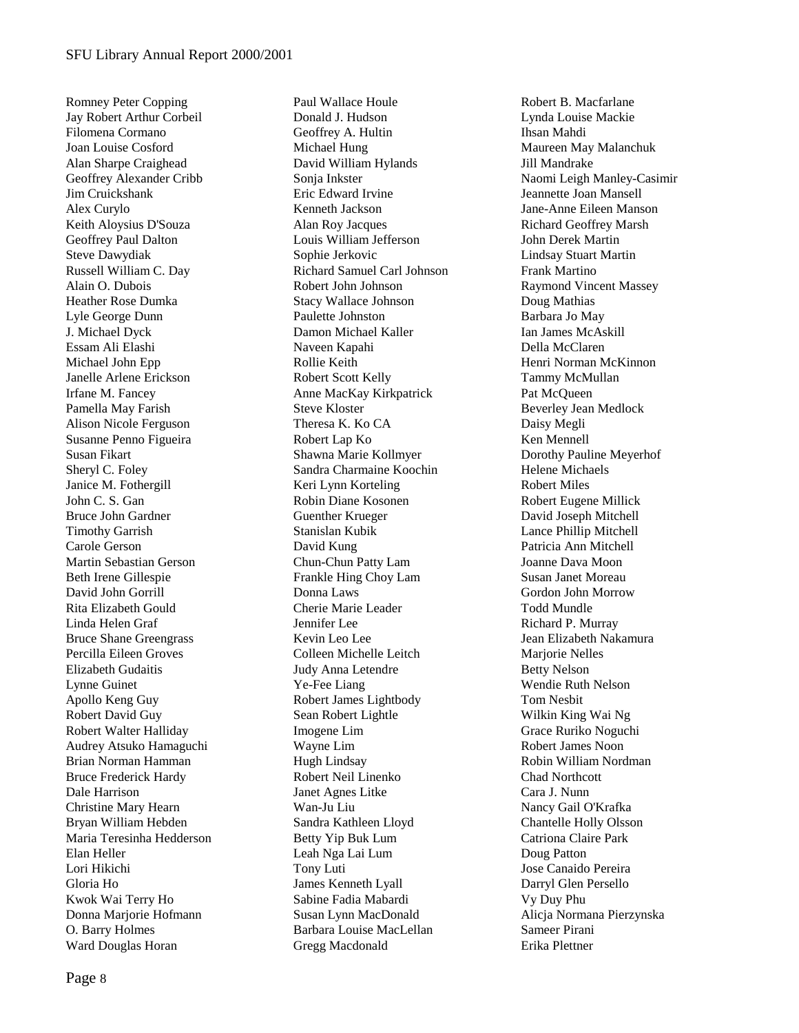Romney Peter Copping Jay Robert Arthur Corbeil Filomena Cormano Joan Louise Cosford Alan Sharpe Craighead Geoffrey Alexander Cribb Jim Cruickshank Alex Curylo Keith Aloysius D'Souza Geoffrey Paul Dalton Steve Dawydiak Russell William C. Day Alain O. Dubois Heather Rose Dumka Lyle George Dunn J. Michael Dyck Essam Ali Elashi Michael John Epp Janelle Arlene Erickson Irfane M. Fancey Pamella May Farish Alison Nicole Ferguson Susanne Penno Figueira Susan Fikart Sheryl C. Foley Janice M. Fothergill John C. S. Gan Bruce John Gardner Timothy Garrish Carole Gerson Martin Sebastian Gerson Beth Irene Gillespie David John Gorrill Rita Elizabeth Gould Linda Helen Graf Bruce Shane Greengrass Percilla Eileen Groves Elizabeth Gudaitis Lynne Guinet Apollo Keng Guy Robert David Guy Robert Walter Halliday Audrey Atsuko Hamaguchi Brian Norman Hamman Bruce Frederick Hardy Dale Harrison Christine Mary Hearn Bryan William Hebden Maria Teresinha Hedderson Elan Heller Lori Hikichi Gloria Ho Kwok Wai Terry Ho Donna Marjorie Hofmann O. Barry Holmes Ward Douglas Horan

Paul Wallace Houle Donald J. Hudson Geoffrey A. Hultin Michael Hung David William Hylands Sonja Inkster Eric Edward Irvine Kenneth Jackson Alan Roy Jacques Louis William Jefferson Sophie Jerkovic Richard Samuel Carl Johnson Robert John Johnson Stacy Wallace Johnson Paulette Johnston Damon Michael Kaller Naveen Kapahi Rollie Keith Robert Scott Kelly Anne MacKay Kirkpatrick Steve Kloster Theresa K. Ko CA Robert Lap Ko Shawna Marie Kollmyer Sandra Charmaine Koochin Keri Lynn Korteling Robin Diane Kosonen Guenther Krueger Stanislan Kubik David Kung Chun-Chun Patty Lam Frankle Hing Choy Lam Donna Laws Cherie Marie Leader Jennifer Lee Kevin Leo Lee Colleen Michelle Leitch Judy Anna Letendre Ye-Fee Liang Robert James Lightbody Sean Robert Lightle Imogene Lim Wayne Lim Hugh Lindsay Robert Neil Linenko Janet Agnes Litke Wan-Ju Liu Sandra Kathleen Lloyd Betty Yip Buk Lum Leah Nga Lai Lum Tony Luti James Kenneth Lyall Sabine Fadia Mabardi Susan Lynn MacDonald Barbara Louise MacLellan Gregg Macdonald

Robert B. Macfarlane Lynda Louise Mackie Ihsan Mahdi Maureen May Malanchuk Jill Mandrake Naomi Leigh Manley-Casimir Jeannette Joan Mansell Jane-Anne Eileen Manson Richard Geoffrey Marsh John Derek Martin Lindsay Stuart Martin Frank Martino Raymond Vincent Massey Doug Mathias Barbara Jo May Ian James McAskill Della McClaren Henri Norman McKinnon Tammy McMullan Pat McQueen Beverley Jean Medlock Daisy Megli Ken Mennell Dorothy Pauline Meyerhof Helene Michaels Robert Miles Robert Eugene Millick David Joseph Mitchell Lance Phillip Mitchell Patricia Ann Mitchell Joanne Dava Moon Susan Janet Moreau Gordon John Morrow Todd Mundle Richard P. Murray Jean Elizabeth Nakamura Marjorie Nelles Betty Nelson Wendie Ruth Nelson Tom Nesbit Wilkin King Wai Ng Grace Ruriko Noguchi Robert James Noon Robin William Nordman Chad Northcott Cara J. Nunn Nancy Gail O'Krafka Chantelle Holly Olsson Catriona Claire Park Doug Patton Jose Canaido Pereira Darryl Glen Persello Vy Duy Phu Alicja Normana Pierzynska Sameer Pirani Erika Plettner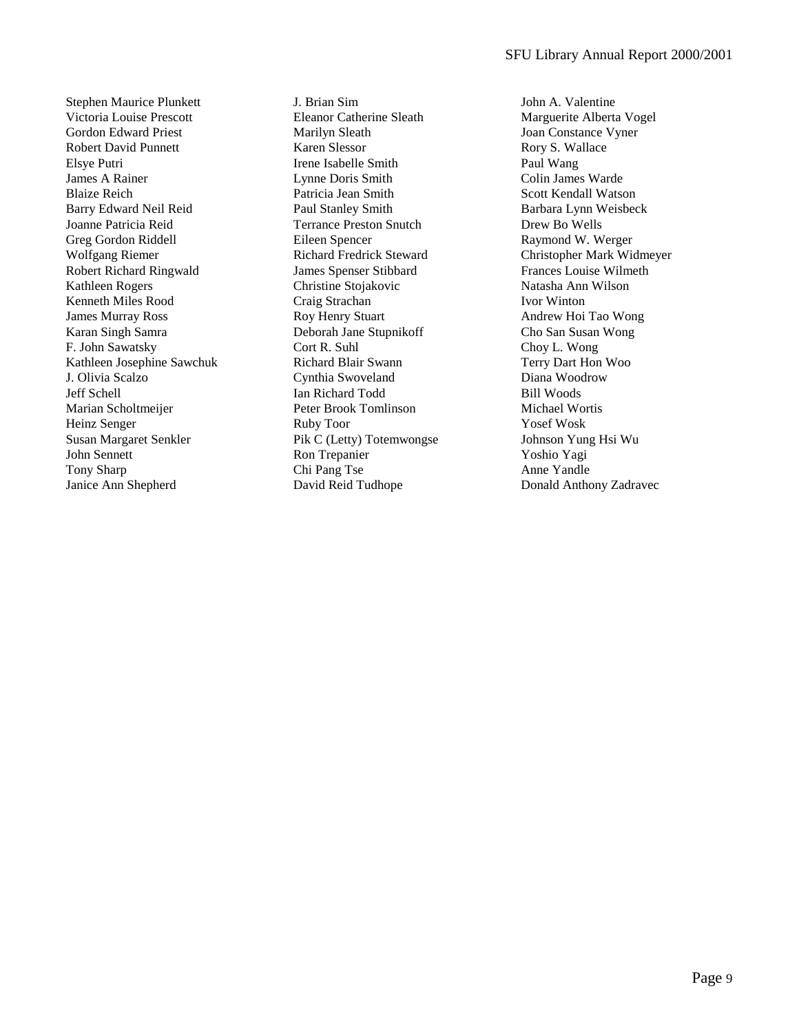Stephen Maurice Plunkett Victoria Louise Prescott Gordon Edward Priest Robert David Punnett Elsye Putri James A Rainer Blaize Reich Barry Edward Neil Reid Joanne Patricia Reid Greg Gordon Riddell Wolfgang Riemer Robert Richard Ringwald Kathleen Rogers Kenneth Miles Rood James Murray Ross Karan Singh Samra F. John Sawatsky Kathleen Josephine Sawchuk J. Olivia Scalzo Jeff Schell Marian Scholtmeijer Heinz Senger Susan Margaret Senkler John Sennett Tony Sharp Janice Ann Shepherd

J. Brian Sim Eleanor Catherine Sleath Marilyn Sleath Karen Slessor Irene Isabelle Smith Lynne Doris Smith Patricia Jean Smith Paul Stanley Smith Terrance Preston Snutch Eileen Spencer Richard Fredrick Steward James Spenser Stibbard Christine Stojakovic Craig Strachan Roy Henry Stuart Deborah Jane Stupnikoff Cort R. Suhl Richard Blair Swann Cynthia Swoveland Ian Richard Todd Peter Brook Tomlinson Ruby Toor Pik C (Letty) Totemwongse Ron Trepanier Chi Pang Tse David Reid Tudhope

John A. Valentine Marguerite Alberta Vogel Joan Constance Vyner Rory S. Wallace Paul Wang Colin James Warde Scott Kendall Watson Barbara Lynn Weisbeck Drew Bo Wells Raymond W. Werger Christopher Mark Widmeyer Frances Louise Wilmeth Natasha Ann Wilson Ivor Winton Andrew Hoi Tao Wong Cho San Susan Wong Choy L. Wong Terry Dart Hon Woo Diana Woodrow Bill Woods Michael Wortis Yosef Wosk Johnson Yung Hsi Wu Yoshio Yagi Anne Yandle Donald Anthony Zadravec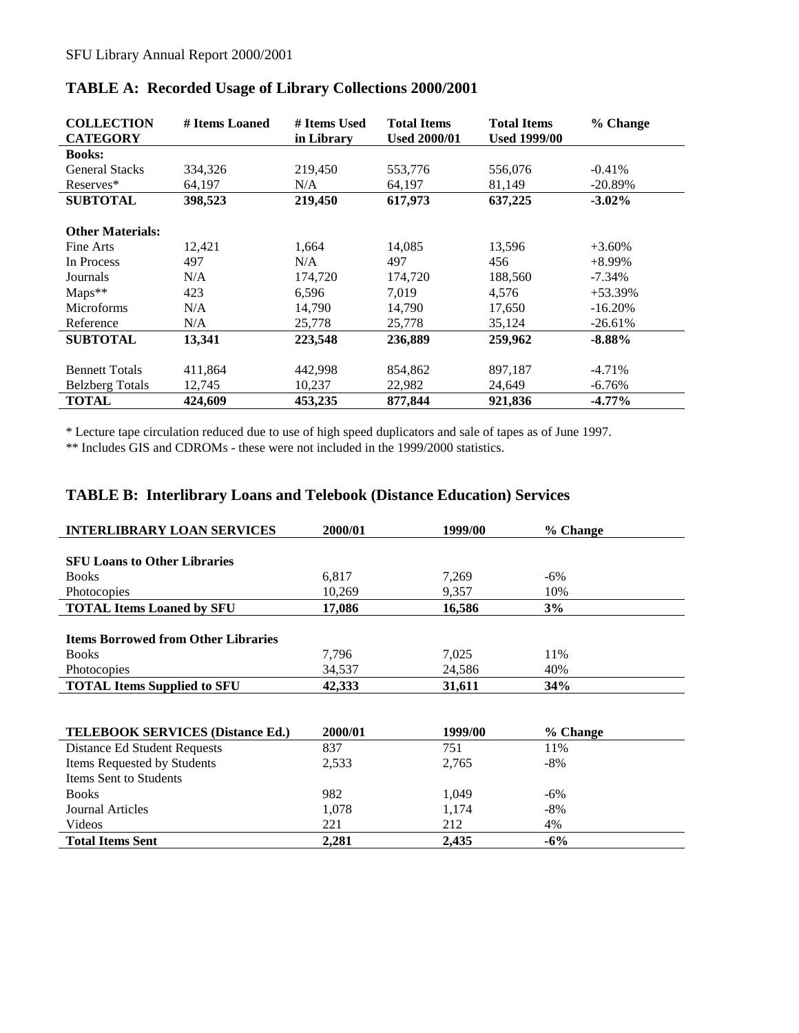| <b>COLLECTION</b><br><b>CATEGORY</b> | # Items Loaned | # Items Used<br>in Library | <b>Total Items</b><br><b>Used 2000/01</b> | <b>Total Items</b><br><b>Used 1999/00</b> | % Change   |
|--------------------------------------|----------------|----------------------------|-------------------------------------------|-------------------------------------------|------------|
| <b>Books:</b>                        |                |                            |                                           |                                           |            |
| <b>General Stacks</b>                | 334,326        | 219,450                    | 553,776                                   | 556,076                                   | $-0.41%$   |
| Reserves*                            | 64,197         | N/A                        | 64,197                                    | 81,149                                    | $-20.89%$  |
| <b>SUBTOTAL</b>                      | 398,523        | 219,450                    | 617,973                                   | 637,225                                   | $-3.02\%$  |
| <b>Other Materials:</b>              |                |                            |                                           |                                           |            |
| Fine Arts                            | 12,421         | 1,664                      | 14,085                                    | 13,596                                    | $+3.60\%$  |
| In Process                           | 497            | N/A                        | 497                                       | 456                                       | $+8.99\%$  |
| Journals                             | N/A            | 174,720                    | 174,720                                   | 188,560                                   | $-7.34\%$  |
| $Maps**$                             | 423            | 6,596                      | 7,019                                     | 4,576                                     | $+53.39%$  |
| <b>Microforms</b>                    | N/A            | 14,790                     | 14,790                                    | 17,650                                    | $-16.20\%$ |
| Reference                            | N/A            | 25,778                     | 25,778                                    | 35,124                                    | $-26.61%$  |
| <b>SUBTOTAL</b>                      | 13,341         | 223,548                    | 236,889                                   | 259,962                                   | $-8.88\%$  |
| <b>Bennett Totals</b>                | 411,864        | 442,998                    | 854,862                                   | 897,187                                   | $-4.71%$   |
| <b>Belzberg Totals</b>               | 12,745         | 10,237                     | 22,982                                    | 24,649                                    | -6.76%     |
| <b>TOTAL</b>                         | 424.609        | 453,235                    | 877,844                                   | 921,836                                   | $-4.77\%$  |

### <span id="page-9-0"></span>**TABLE A: Recorded Usage of Library Collections 2000/2001**

\* Lecture tape circulation reduced due to use of high speed duplicators and sale of tapes as of June 1997.

\*\* Includes GIS and CDROMs - these were not included in the 1999/2000 statistics.

### **TABLE B: Interlibrary Loans and Telebook (Distance Education) Services**

| <b>INTERLIBRARY LOAN SERVICES</b>          | 2000/01 | 1999/00 | % Change |
|--------------------------------------------|---------|---------|----------|
|                                            |         |         |          |
| <b>SFU Loans to Other Libraries</b>        |         |         |          |
| <b>Books</b>                               | 6.817   | 7.269   | $-6\%$   |
| Photocopies                                | 10,269  | 9,357   | 10%      |
| <b>TOTAL Items Loaned by SFU</b>           | 17,086  | 16,586  | 3%       |
|                                            |         |         |          |
| <b>Items Borrowed from Other Libraries</b> |         |         |          |
| <b>Books</b>                               | 7.796   | 7,025   | 11%      |
| Photocopies                                | 34,537  | 24,586  | 40%      |
| <b>TOTAL Items Supplied to SFU</b>         | 42,333  | 31,611  | 34%      |
|                                            |         |         |          |
|                                            |         |         |          |

| <b>TELEBOOK SERVICES (Distance Ed.)</b> | 2000/01 | 1999/00 | % Change |
|-----------------------------------------|---------|---------|----------|
| Distance Ed Student Requests            | 837     | 751     | 11%      |
| Items Requested by Students             | 2.533   | 2.765   | $-8\%$   |
| <b>Items Sent to Students</b>           |         |         |          |
| <b>Books</b>                            | 982     | 1,049   | $-6\%$   |
| Journal Articles                        | 1,078   | 1,174   | $-8\%$   |
| Videos                                  | 221     | 212     | 4%       |
| <b>Total Items Sent</b>                 | 2,281   | 2,435   | $-6%$    |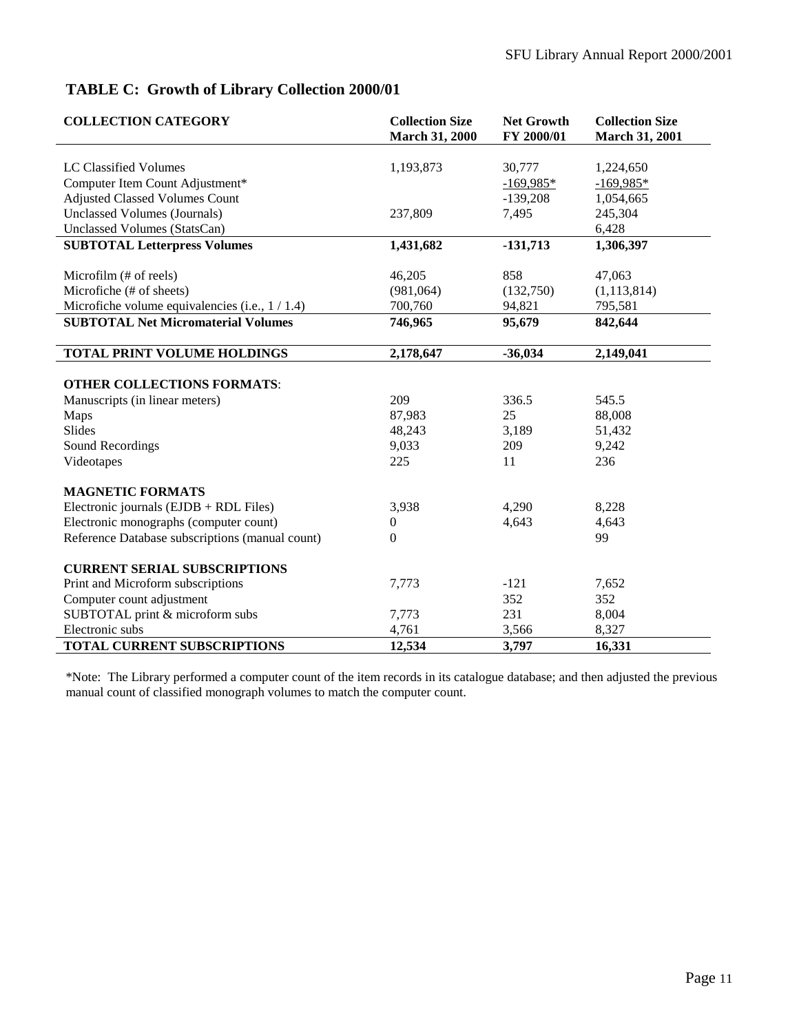## <span id="page-10-0"></span>**TABLE C: Growth of Library Collection 2000/01**

| <b>COLLECTION CATEGORY</b>                       | <b>Collection Size</b><br><b>March 31, 2000</b> | <b>Net Growth</b><br>FY 2000/01 | <b>Collection Size</b><br><b>March 31, 2001</b> |
|--------------------------------------------------|-------------------------------------------------|---------------------------------|-------------------------------------------------|
|                                                  |                                                 |                                 |                                                 |
| LC Classified Volumes                            | 1,193,873                                       | 30,777                          | 1,224,650                                       |
| Computer Item Count Adjustment*                  |                                                 | $-169,985*$                     | $-169,985*$                                     |
| <b>Adjusted Classed Volumes Count</b>            |                                                 | $-139,208$                      | 1,054,665                                       |
| Unclassed Volumes (Journals)                     | 237,809                                         | 7,495                           | 245,304                                         |
| Unclassed Volumes (StatsCan)                     |                                                 |                                 | 6,428                                           |
| <b>SUBTOTAL Letterpress Volumes</b>              | 1,431,682                                       | $-131,713$                      | 1,306,397                                       |
| Microfilm (# of reels)                           | 46,205                                          | 858                             | 47,063                                          |
| Microfiche (# of sheets)                         | (981, 064)                                      | (132,750)                       | (1, 113, 814)                                   |
| Microfiche volume equivalencies (i.e., $1/1.4$ ) | 700,760                                         | 94,821                          | 795,581                                         |
| <b>SUBTOTAL Net Micromaterial Volumes</b>        | 746,965                                         | 95,679                          | 842,644                                         |
|                                                  |                                                 |                                 |                                                 |
| TOTAL PRINT VOLUME HOLDINGS                      | 2,178,647                                       | $-36,034$                       | 2,149,041                                       |
|                                                  |                                                 |                                 |                                                 |
| <b>OTHER COLLECTIONS FORMATS:</b>                |                                                 |                                 |                                                 |
| Manuscripts (in linear meters)                   | 209                                             | 336.5                           | 545.5                                           |
| Maps                                             | 87,983                                          | 25                              | 88,008                                          |
| <b>Slides</b>                                    | 48,243                                          | 3,189                           | 51,432                                          |
| Sound Recordings                                 | 9,033                                           | 209                             | 9,242                                           |
| Videotapes                                       | 225                                             | 11                              | 236                                             |
| <b>MAGNETIC FORMATS</b>                          |                                                 |                                 |                                                 |
| Electronic journals (EJDB + RDL Files)           | 3,938                                           | 4,290                           | 8,228                                           |
| Electronic monographs (computer count)           | $\boldsymbol{0}$                                | 4,643                           | 4,643                                           |
| Reference Database subscriptions (manual count)  | $\Omega$                                        |                                 | 99                                              |
| <b>CURRENT SERIAL SUBSCRIPTIONS</b>              |                                                 |                                 |                                                 |
| Print and Microform subscriptions                | 7,773                                           | $-121$                          | 7,652                                           |
| Computer count adjustment                        |                                                 | 352                             | 352                                             |
| SUBTOTAL print & microform subs                  | 7,773                                           | 231                             | 8,004                                           |
| Electronic subs                                  | 4,761                                           | 3,566                           | 8,327                                           |
| TOTAL CURRENT SUBSCRIPTIONS                      | 12,534                                          | 3,797                           | 16,331                                          |

\*Note: The Library performed a computer count of the item records in its catalogue database; and then adjusted the previous manual count of classified monograph volumes to match the computer count.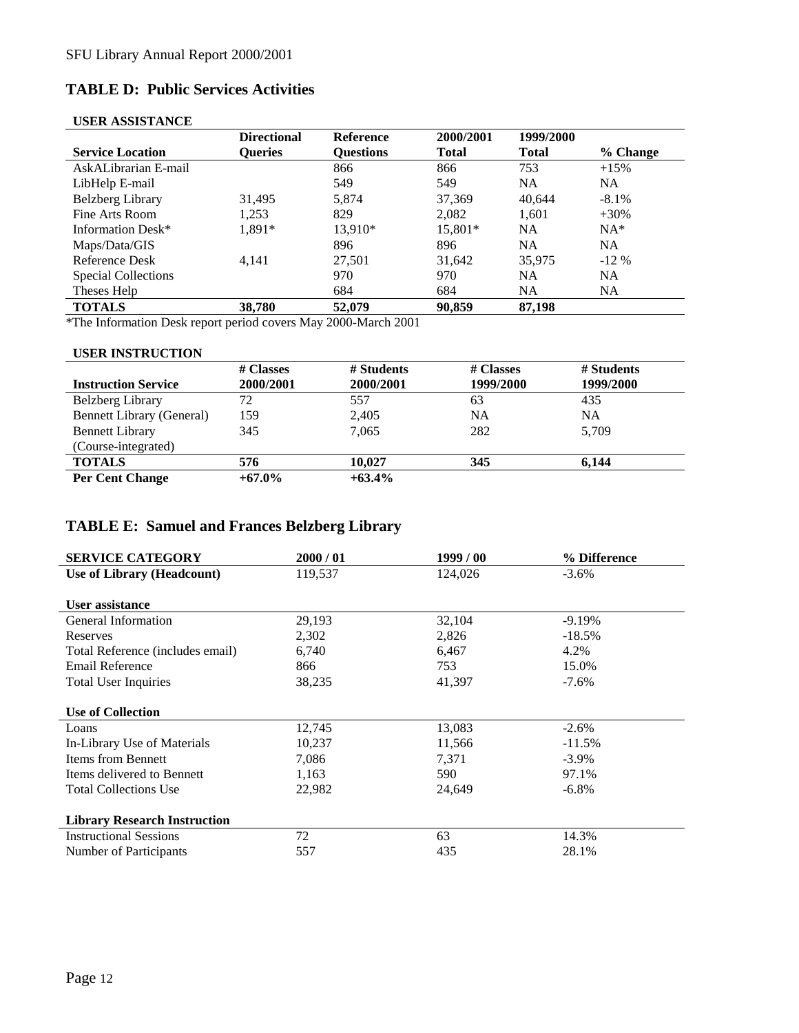# <span id="page-11-0"></span>**TABLE D: Public Services Activities**

### **USER ASSISTANCE**

| <b>Directional</b> | <b>Reference</b> | 2000/2001    | 1999/2000    |           |
|--------------------|------------------|--------------|--------------|-----------|
| <b>Oueries</b>     | <b>Ouestions</b> | <b>Total</b> | <b>Total</b> | % Change  |
|                    | 866              | 866          | 753          | $+15%$    |
|                    | 549              | 549          | <b>NA</b>    | NA.       |
| 31.495             | 5.874            | 37,369       | 40.644       | $-8.1\%$  |
| 1.253              | 829              | 2.082        | 1.601        | $+30%$    |
| 1.891*             | 13,910*          | 15,801*      | <b>NA</b>    | $NA^*$    |
|                    | 896              | 896          | <b>NA</b>    | <b>NA</b> |
| 4.141              | 27,501           | 31,642       | 35,975       | $-12\%$   |
|                    | 970              | 970          | <b>NA</b>    | <b>NA</b> |
|                    | 684              | 684          | <b>NA</b>    | NA.       |
| 38,780             | 52,079           | 90.859       | 87,198       |           |
|                    |                  |              |              |           |

\*The Information Desk report period covers May 2000-March 2001

#### **USER INSTRUCTION**

|                                  | # Classes | # Students | # Classes | # Students |
|----------------------------------|-----------|------------|-----------|------------|
| <b>Instruction Service</b>       | 2000/2001 | 2000/2001  | 1999/2000 | 1999/2000  |
| Belzberg Library                 | 72        | 557        | 63        | 435        |
| <b>Bennett Library (General)</b> | 159       | 2,405      | <b>NA</b> | NA         |
| <b>Bennett Library</b>           | 345       | 7,065      | 282       | 5,709      |
| (Course-integrated)              |           |            |           |            |
| <b>TOTALS</b>                    | 576       | 10.027     | 345       | 6,144      |
| <b>Per Cent Change</b>           | $+67.0\%$ | $+63.4\%$  |           |            |

## **TABLE E: Samuel and Frances Belzberg Library**

| <b>SERVICE CATEGORY</b>             | 2000/01 | 1999/00 | % Difference |
|-------------------------------------|---------|---------|--------------|
| Use of Library (Headcount)          | 119,537 | 124,026 | $-3.6\%$     |
|                                     |         |         |              |
| User assistance                     |         |         |              |
| <b>General Information</b>          | 29,193  | 32,104  | $-9.19%$     |
| Reserves                            | 2,302   | 2,826   | $-18.5%$     |
| Total Reference (includes email)    | 6,740   | 6,467   | 4.2%         |
| Email Reference                     | 866     | 753     | 15.0%        |
| <b>Total User Inquiries</b>         | 38,235  | 41,397  | $-7.6%$      |
|                                     |         |         |              |
| <b>Use of Collection</b>            |         |         |              |
| Loans                               | 12,745  | 13,083  | $-2.6%$      |
| In-Library Use of Materials         | 10,237  | 11,566  | $-11.5%$     |
| <b>Items from Bennett</b>           | 7,086   | 7,371   | $-3.9\%$     |
| Items delivered to Bennett          | 1,163   | 590     | 97.1%        |
| <b>Total Collections Use</b>        | 22,982  | 24,649  | $-6.8\%$     |
|                                     |         |         |              |
| <b>Library Research Instruction</b> |         |         |              |
| <b>Instructional Sessions</b>       | 72      | 63      | 14.3%        |
| Number of Participants              | 557     | 435     | 28.1%        |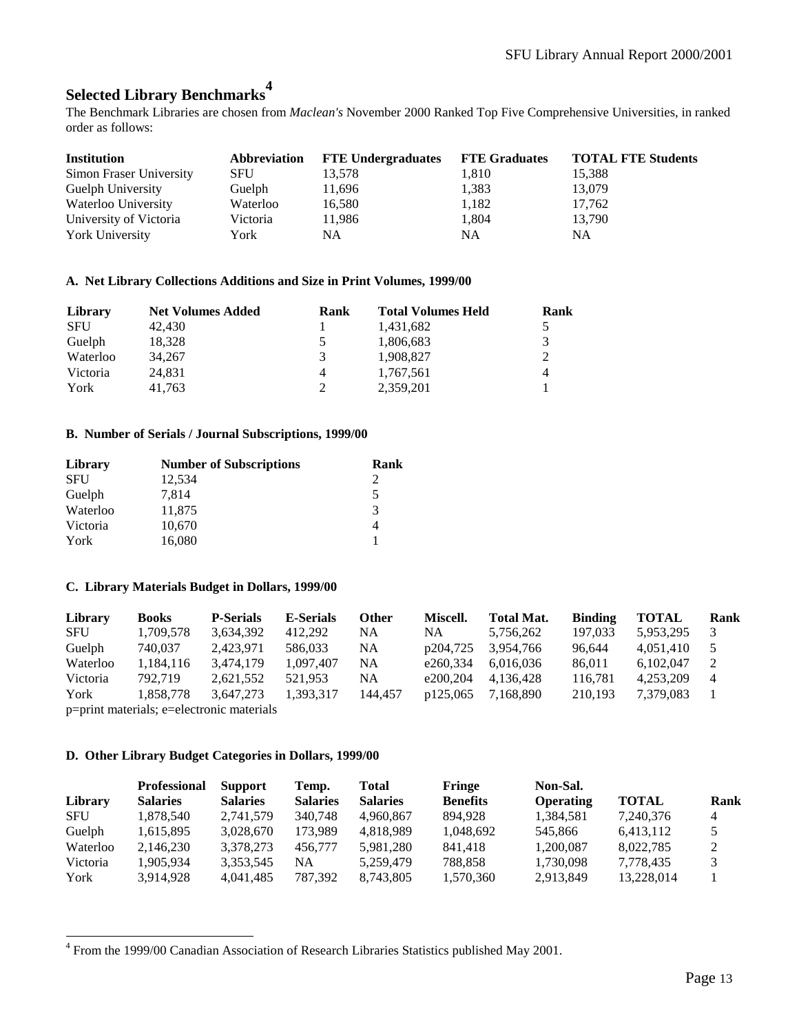# <span id="page-12-0"></span>**Selected Library Benchmarks<sup>4</sup>**

The Benchmark Libraries are chosen from *Maclean's* November 2000 Ranked Top Five Comprehensive Universities, in ranked order as follows:

| <b>Institution</b>      | Abbreviation | <b>FTE Undergraduates</b> FTE Graduates |       | <b>TOTAL FTE Students</b> |
|-------------------------|--------------|-----------------------------------------|-------|---------------------------|
| Simon Fraser University | <b>SFU</b>   | 13,578                                  | 1,810 | 15,388                    |
| Guelph University       | Guelph       | 11,696                                  | 1,383 | 13,079                    |
| Waterloo University     | Waterloo     | 16,580                                  | 1,182 | 17,762                    |
| University of Victoria  | Victoria     | 11,986                                  | 1,804 | 13,790                    |
| <b>York University</b>  | York         | NA                                      | NA    | NA                        |

#### **A. Net Library Collections Additions and Size in Print Volumes, 1999/00**

| Library    | <b>Net Volumes Added</b> | Rank | <b>Total Volumes Held</b> | Rank |
|------------|--------------------------|------|---------------------------|------|
| <b>SFU</b> | 42.430                   |      | 1,431,682                 |      |
| Guelph     | 18.328                   |      | 1,806,683                 | 3    |
| Waterloo   | 34.267                   | 3    | 1.908.827                 | 2    |
| Victoria   | 24.831                   | 4    | 1.767.561                 | 4    |
| York       | 41.763                   |      | 2,359,201                 |      |

#### **B. Number of Serials / Journal Subscriptions, 1999/00**

| Library    | <b>Number of Subscriptions</b> | Rank |
|------------|--------------------------------|------|
| <b>SFU</b> | 12,534                         |      |
| Guelph     | 7.814                          | 5    |
| Waterloo   | 11,875                         | 3    |
| Victoria   | 10,670                         |      |
| York       | 16,080                         |      |

#### **C. Library Materials Budget in Dollars, 1999/00**

| Library    | <b>Books</b>                              | <b>P-Serials</b> | <b>E-Serials</b> | Other   | Miscell. | <b>Total Mat.</b> | <b>Binding</b> | <b>TOTAL</b> | Rank |
|------------|-------------------------------------------|------------------|------------------|---------|----------|-------------------|----------------|--------------|------|
| <b>SFU</b> | 1,709,578                                 | 3.634.392        | 412.292          | NA      | NA       | 5,756,262         | 197.033        | 5,953,295    |      |
| Guelph     | 740.037                                   | 2.423.971        | 586,033          | NA      | p204,725 | 3.954.766         | 96.644         | 4.051.410    |      |
| Waterloo   | 1,184,116                                 | 3.474.179        | 1.097.407        | NA      | e260.334 | 6.016.036         | 86.011         | 6.102.047    | 2    |
| Victoria   | 792.719                                   | 2.621.552        | 521.953          | NA      | e200.204 | 4.136.428         | 116.781        | 4.253.209    | 4    |
| York       | 1,858,778                                 | 3.647.273        | 1.393.317        | 144,457 | p125,065 | 7.168.890         | 210.193        | 7.379.083    |      |
|            | n-print materials: a-alastronia materials |                  |                  |         |          |                   |                |              |      |

p=print materials; e=electronic materials

l

#### **D. Other Library Budget Categories in Dollars, 1999/00**

|            | <b>Professional</b> | <b>Support</b>  | Temp.           | Total           | Fringe          | Non-Sal.  |              |                |
|------------|---------------------|-----------------|-----------------|-----------------|-----------------|-----------|--------------|----------------|
| Library    | <b>Salaries</b>     | <b>Salaries</b> | <b>Salaries</b> | <b>Salaries</b> | <b>Benefits</b> | Operating | <b>TOTAL</b> | Rank           |
| <b>SFU</b> | 1.878.540           | 2,741,579       | 340,748         | 4.960.867       | 894.928         | 1,384,581 | 7,240,376    | $\overline{4}$ |
| Guelph     | 1,615,895           | 3,028,670       | 173.989         | 4.818.989       | 1,048,692       | 545,866   | 6,413,112    |                |
| Waterloo   | 2,146,230           | 3,378,273       | 456,777         | 5,981,280       | 841.418         | 1,200,087 | 8,022,785    | 2              |
| Victoria   | 1.905.934           | 3,353,545       | NA              | 5.259.479       | 788.858         | 1,730,098 | 7,778,435    |                |
| York       | 3,914,928           | 4.041.485       | 787,392         | 8,743,805       | 1,570,360       | 2,913,849 | 13,228,014   |                |

<sup>&</sup>lt;sup>4</sup> From the 1999/00 Canadian Association of Research Libraries Statistics published May 2001.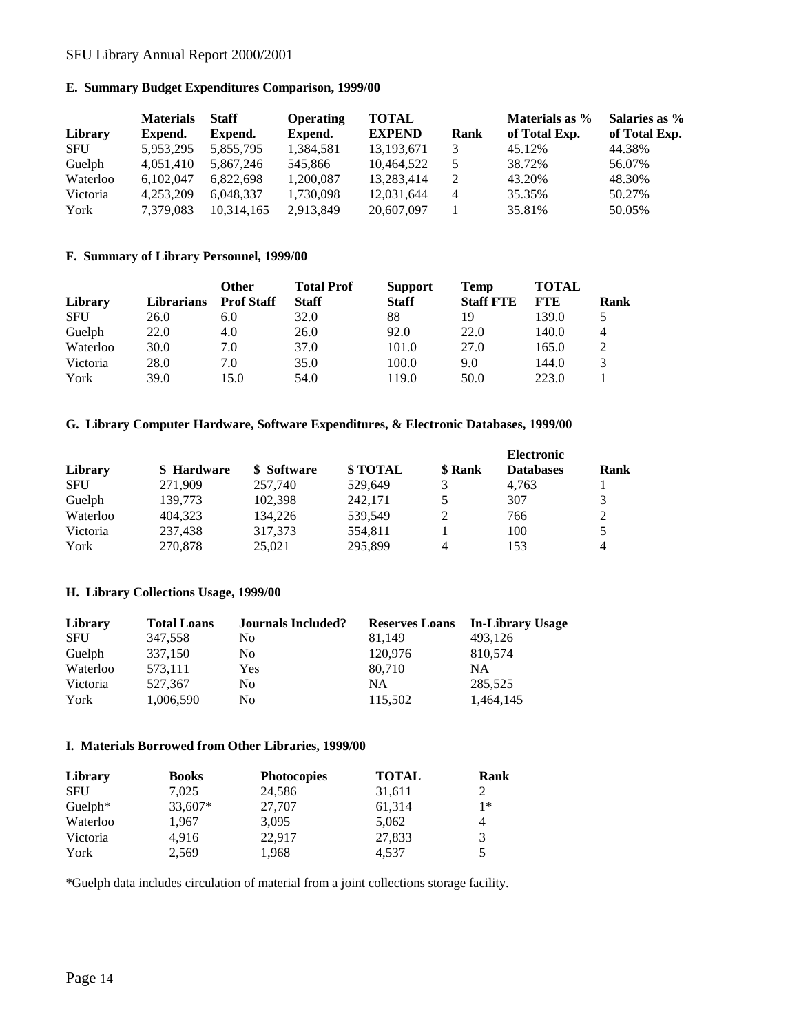#### <span id="page-13-0"></span>SFU Library Annual Report 2000/2001

#### **E. Summary Budget Expenditures Comparison, 1999/00**

|            | <b>Materials</b> | <b>Staff</b> | <b>Operating</b> | TOTAL         |      | Materials as % | Salaries as % |
|------------|------------------|--------------|------------------|---------------|------|----------------|---------------|
| Library    | Expend.          | Expend.      | Expend.          | <b>EXPEND</b> | Rank | of Total Exp.  | of Total Exp. |
| <b>SFU</b> | 5,953,295        | 5,855,795    | 1,384,581        | 13, 193, 671  |      | 45.12%         | 44.38%        |
| Guelph     | 4,051,410        | 5.867.246    | 545,866          | 10,464,522    |      | 38.72%         | 56.07%        |
| Waterloo   | 6,102,047        | 6,822,698    | 1.200.087        | 13.283.414    | 2    | 43.20%         | 48.30%        |
| Victoria   | 4.253.209        | 6.048.337    | 1.730.098        | 12.031.644    | 4    | 35.35%         | 50.27%        |
| York       | 7,379,083        | 10,314,165   | 2,913,849        | 20,607,097    |      | 35.81%         | 50.05%        |

#### **F. Summary of Library Personnel, 1999/00**

|            |                   | <b>Other</b>      | <b>Total Prof</b> | <b>Support</b> | Temp             | <b>TOTAL</b> |             |
|------------|-------------------|-------------------|-------------------|----------------|------------------|--------------|-------------|
| Library    | <b>Librarians</b> | <b>Prof Staff</b> | <b>Staff</b>      | <b>Staff</b>   | <b>Staff FTE</b> | <b>FTE</b>   | <b>Rank</b> |
| <b>SFU</b> | 26.0              | 6.0               | 32.0              | 88             | 19               | 139.0        |             |
| Guelph     | 22.0              | 4.0               | 26.0              | 92.0           | 22.0             | 140.0        | 4           |
| Waterloo   | 30.0              | 7.0               | 37.0              | 101.0          | 27.0             | 165.0        |             |
| Victoria   | 28.0              | 7.0               | 35.0              | 100.0          | 9.0              | 144.0        |             |
| York       | 39.0              | 15.0              | 54.0              | 119.0          | 50.0             | 223.0        |             |

#### **G. Library Computer Hardware, Software Expenditures, & Electronic Databases, 1999/00**

|            |             |             |          |         | <b>Electronic</b> |             |
|------------|-------------|-------------|----------|---------|-------------------|-------------|
| Library    | \$ Hardware | \$ Software | \$ TOTAL | \$ Rank | <b>Databases</b>  | <b>Rank</b> |
| <b>SFU</b> | 271.909     | 257,740     | 529.649  |         | 4.763             |             |
| Guelph     | 139.773     | 102.398     | 242.171  | 5       | 307               |             |
| Waterloo   | 404.323     | 134,226     | 539.549  |         | 766               |             |
| Victoria   | 237,438     | 317.373     | 554,811  |         | 100               |             |
| York       | 270,878     | 25,021      | 295.899  | Δ       | 153               | 4           |

#### **H. Library Collections Usage, 1999/00**

| Library    | <b>Total Loans</b> | <b>Journals Included?</b> | <b>Reserves Loans</b> | In-Library Usage |
|------------|--------------------|---------------------------|-----------------------|------------------|
| <b>SFU</b> | 347.558            | No                        | 81.149                | 493.126          |
| Guelph     | 337,150            | No                        | 120,976               | 810,574          |
| Waterloo   | 573.111            | Yes                       | 80.710                | NΑ               |
| Victoria   | 527,367            | No                        | NΑ                    | 285,525          |
| York       | 1,006,590          | No                        | 115,502               | 1.464.145        |

#### **I. Materials Borrowed from Other Libraries, 1999/00**

| Library    | <b>Books</b> | <b>Photocopies</b> | <b>TOTAL</b> | <b>Rank</b> |
|------------|--------------|--------------------|--------------|-------------|
| <b>SFU</b> | 7.025        | 24,586             | 31,611       | 2           |
| Guelph $*$ | 33,607*      | 27,707             | 61,314       | $1*$        |
| Waterloo   | 1,967        | 3.095              | 5,062        | 4           |
| Victoria   | 4.916        | 22.917             | 27,833       | 3           |
| York       | 2.569        | 1.968              | 4.537        | 5           |

\*Guelph data includes circulation of material from a joint collections storage facility.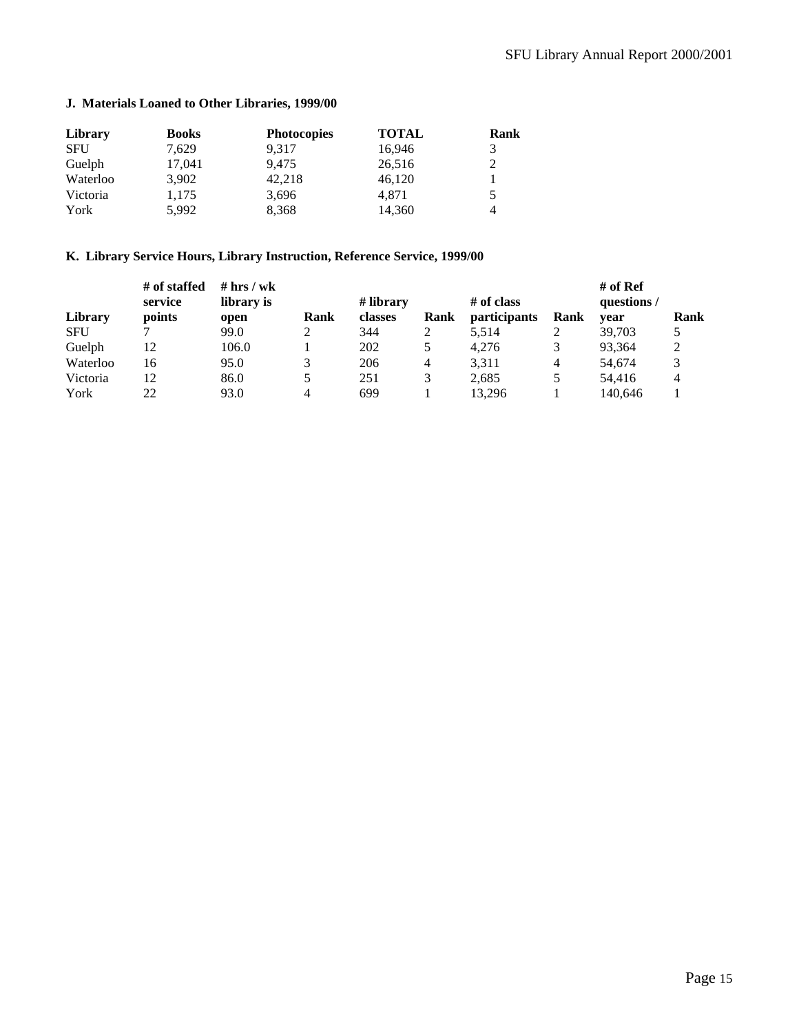### <span id="page-14-0"></span>**J. Materials Loaned to Other Libraries, 1999/00**

| Library    | <b>Books</b> | <b>Photocopies</b> | <b>TOTAL</b> | Rank |
|------------|--------------|--------------------|--------------|------|
| <b>SFU</b> | 7.629        | 9.317              | 16,946       | 3    |
| Guelph     | 17,041       | 9.475              | 26,516       | 2    |
| Waterloo   | 3.902        | 42,218             | 46,120       |      |
| Victoria   | 1,175        | 3,696              | 4.871        | 5    |
| York       | 5.992        | 8.368              | 14,360       | 4    |

### **K. Library Service Hours, Library Instruction, Reference Service, 1999/00**

|            | # of staffed | # $hrs / wk$ |      |           |      |                     |      | # of Ref    |      |
|------------|--------------|--------------|------|-----------|------|---------------------|------|-------------|------|
|            | service      | library is   |      | # library |      | # of class          |      | questions / |      |
| Library    | points       | open         | Rank | classes   | Rank | <i>participants</i> | Rank | vear        | Rank |
| <b>SFU</b> |              | 99.0         |      | 344       |      | 5,514               |      | 39,703      |      |
| Guelph     | 12           | 106.0        |      | 202       | 5    | 4.276               |      | 93,364      | ◠    |
| Waterloo   | 16           | 95.0         |      | 206       | 4    | 3.311               | 4    | 54.674      |      |
| Victoria   | 12           | 86.0         |      | 251       | 3    | 2.685               |      | 54.416      |      |
| York       | 22           | 93.0         | 4    | 699       |      | 13.296              |      | 140.646     |      |